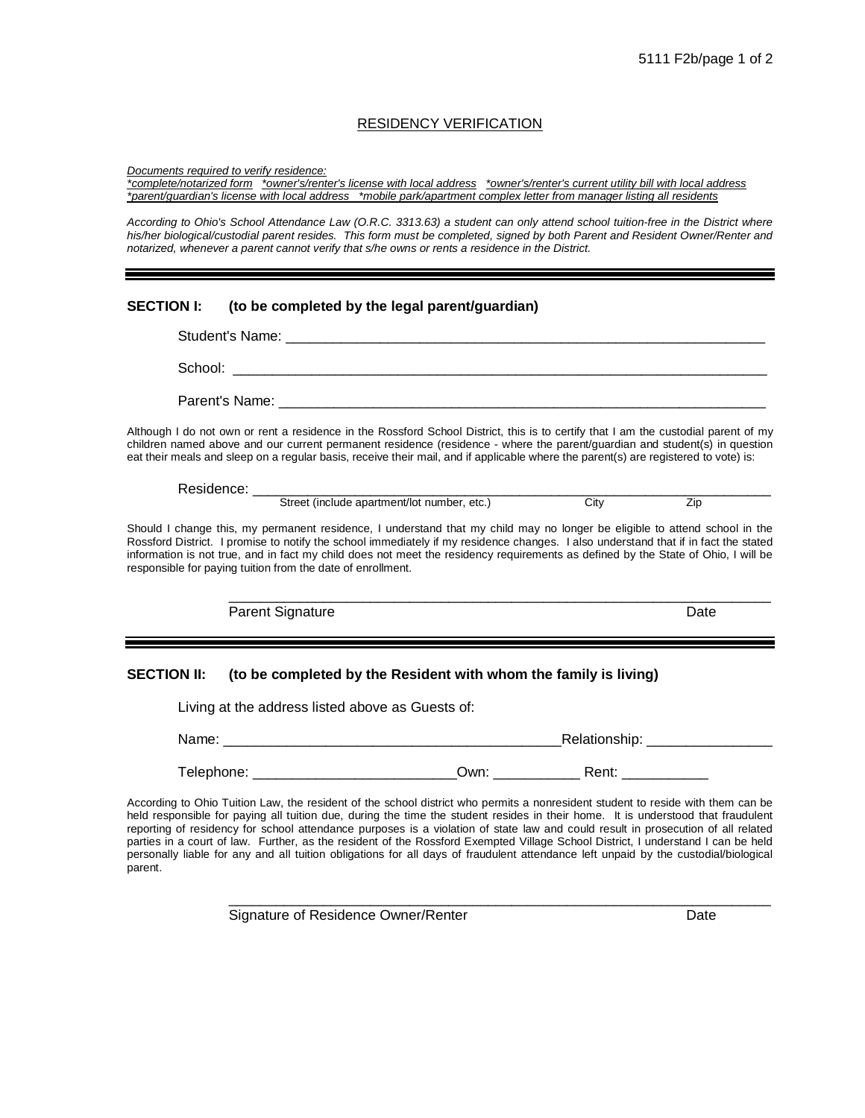## RESIDENCY VERIFICATION

*Documents required to verify residence:*

*\*complete/notarized form \*owner's/renter's license with local address \*owner's/renter's current utility bill with local address \*parent/guardian's license with local address \*mobile park/apartment complex letter from manager listing all residents*

*According to Ohio's School Attendance Law (O.R.C. 3313.63) a student can only attend school tuition-free in the District where*  his/her biological/custodial parent resides. This form must be completed, signed by both Parent and Resident Owner/Renter and *notarized, whenever a parent cannot verify that s/he owns or rents a residence in the District.*

## **SECTION I: (to be completed by the legal parent/guardian)**

Student's Name: \_\_\_\_\_\_\_\_\_\_\_\_\_\_\_\_\_\_\_\_\_\_\_\_\_\_\_\_\_\_\_\_\_\_\_\_\_\_\_\_\_\_\_\_\_\_\_\_\_\_\_\_\_\_\_\_\_\_\_\_\_ School: \_\_\_\_\_\_\_\_\_\_\_\_\_\_\_\_\_\_\_\_\_\_\_\_\_\_\_\_\_\_\_\_\_\_\_\_\_\_\_\_\_\_\_\_\_\_\_\_\_\_\_\_\_\_\_\_\_\_\_\_\_\_\_\_\_\_\_\_ Parent's Name:

Although I do not own or rent a residence in the Rossford School District, this is to certify that I am the custodial parent of my children named above and our current permanent residence (residence - where the parent/guardian and student(s) in question eat their meals and sleep on a regular basis, receive their mail, and if applicable where the parent(s) are registered to vote) is:

Residence: \_\_\_\_\_\_\_\_\_\_\_\_\_\_\_\_\_\_\_\_\_\_\_\_\_\_\_\_\_\_\_\_\_\_\_\_\_\_\_\_\_\_\_\_\_\_\_\_\_\_\_\_\_\_\_\_\_\_\_\_\_\_\_\_\_\_ Street (include apartment/lot number, etc.)

Should I change this, my permanent residence, I understand that my child may no longer be eligible to attend school in the Rossford District. I promise to notify the school immediately if my residence changes. I also understand that if in fact the stated information is not true, and in fact my child does not meet the residency requirements as defined by the State of Ohio, I will be responsible for paying tuition from the date of enrollment.

Parent Signature Date Date Date Date Date Date

\_\_\_\_\_\_\_\_\_\_\_\_\_\_\_\_\_\_\_\_\_\_\_\_\_\_\_\_\_\_\_\_\_\_\_\_\_\_\_\_\_\_\_\_\_\_\_\_\_\_\_\_\_\_\_\_\_\_\_\_\_\_\_\_\_\_\_\_\_

## **SECTION II: (to be completed by the Resident with whom the family is living)**

Living at the address listed above as Guests of: Name: \_\_\_\_\_\_\_\_\_\_\_\_\_\_\_\_\_\_\_\_\_\_\_\_\_\_\_\_\_\_\_\_\_\_\_\_\_\_\_\_\_\_\_Relationship: \_\_\_\_\_\_\_\_\_\_\_\_\_\_\_\_ Telephone: Telephone: and the Cown: Telephone:  $Qwn$ : Rent:  $Qwn$ :

According to Ohio Tuition Law, the resident of the school district who permits a nonresident student to reside with them can be held responsible for paying all tuition due, during the time the student resides in their home. It is understood that fraudulent reporting of residency for school attendance purposes is a violation of state law and could result in prosecution of all related parties in a court of law. Further, as the resident of the Rossford Exempted Village School District, I understand I can be held personally liable for any and all tuition obligations for all days of fraudulent attendance left unpaid by the custodial/biological parent.

\_\_\_\_\_\_\_\_\_\_\_\_\_\_\_\_\_\_\_\_\_\_\_\_\_\_\_\_\_\_\_\_\_\_\_\_\_\_\_\_\_\_\_\_\_\_\_\_\_\_\_\_\_\_\_\_\_\_\_\_\_\_\_\_\_\_\_\_\_

Signature of Residence Owner/Renter **Date** Date